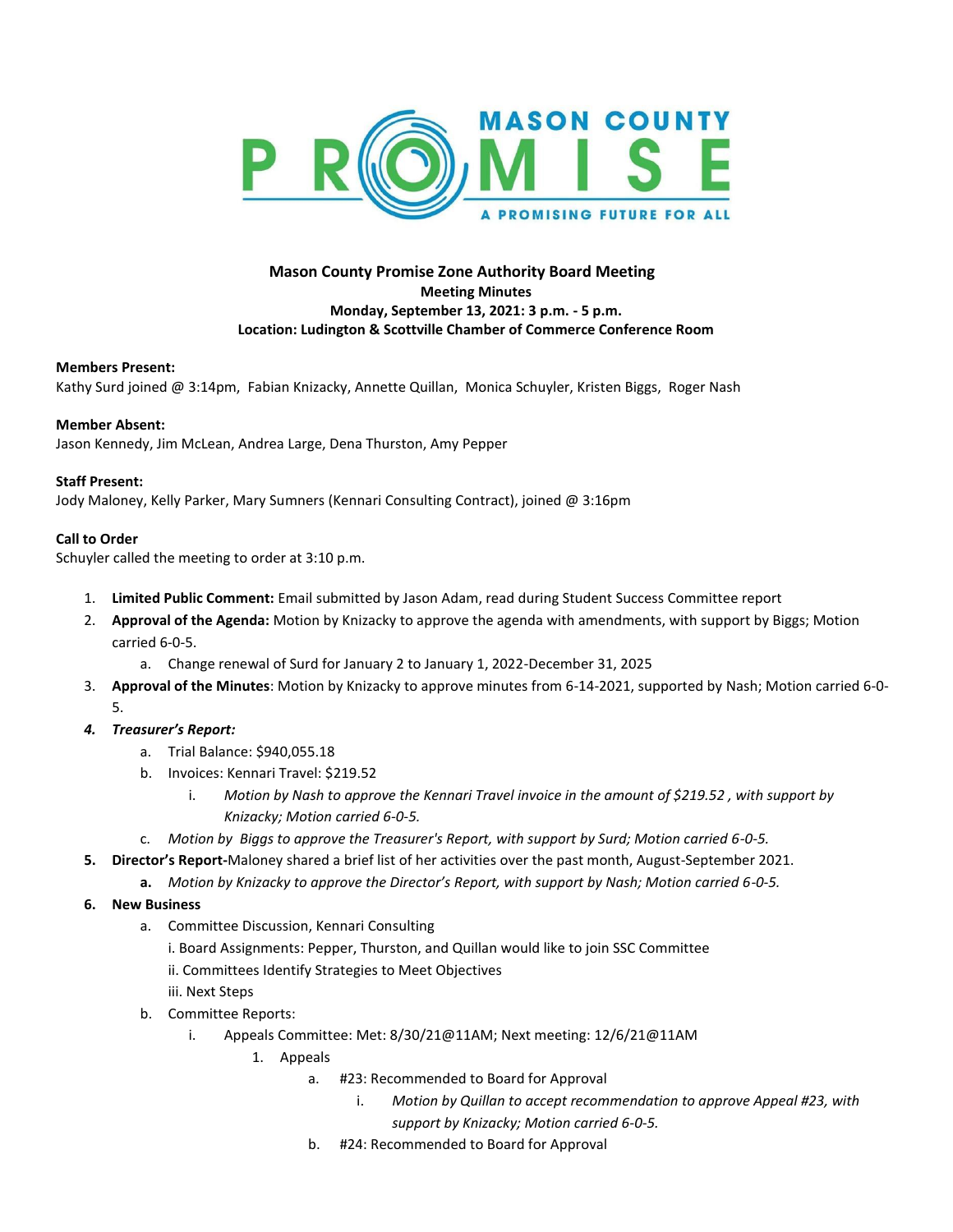

## **Mason County Promise Zone Authority Board Meeting Meeting Minutes Monday, September 13, 2021: 3 p.m. - 5 p.m. Location: Ludington & Scottville Chamber of Commerce Conference Room**

#### **Members Present:**

Kathy Surd joined @ 3:14pm, Fabian Knizacky, Annette Quillan, Monica Schuyler, Kristen Biggs, Roger Nash

#### **Member Absent:**

Jason Kennedy, Jim McLean, Andrea Large, Dena Thurston, Amy Pepper

#### **Staff Present:**

Jody Maloney, Kelly Parker, Mary Sumners (Kennari Consulting Contract), joined @ 3:16pm

#### **Call to Order**

Schuyler called the meeting to order at 3:10 p.m.

- 1. **Limited Public Comment:** Email submitted by Jason Adam, read during Student Success Committee report
- 2. **Approval of the Agenda:** Motion by Knizacky to approve the agenda with amendments, with support by Biggs; Motion carried 6-0-5.
	- a. Change renewal of Surd for January 2 to January 1, 2022-December 31, 2025
- 3. **Approval of the Minutes**: Motion by Knizacky to approve minutes from 6-14-2021, supported by Nash; Motion carried 6-0- 5.
- *4. Treasurer's Report:* 
	- a. Trial Balance: \$940,055.18
	- b. Invoices: Kennari Travel: \$219.52
		- i. *Motion by Nash to approve the Kennari Travel invoice in the amount of \$219.52 , with support by Knizacky; Motion carried 6-0-5.*
	- c. *Motion by Biggs to approve the Treasurer's Report, with support by Surd; Motion carried 6-0-5.*
- **5. Director's Report-**Maloney shared a brief list of her activities over the past month, August-September 2021.
	- **a.** *Motion by Knizacky to approve the Director's Report, with support by Nash; Motion carried 6-0-5.*
- **6. New Business**
	- a. Committee Discussion, Kennari Consulting
		- i. Board Assignments: Pepper, Thurston, and Quillan would like to join SSC Committee
		- ii. Committees Identify Strategies to Meet Objectives
		- iii. Next Steps
	- b. Committee Reports:
		- i. Appeals Committee: Met: 8/30/21@11AM; Next meeting: 12/6/21@11AM
			- 1. Appeals
				- a. #23: Recommended to Board for Approval
					- i. *Motion by Quillan to accept recommendation to approve Appeal #23, with support by Knizacky; Motion carried 6-0-5.*
				- b. #24: Recommended to Board for Approval